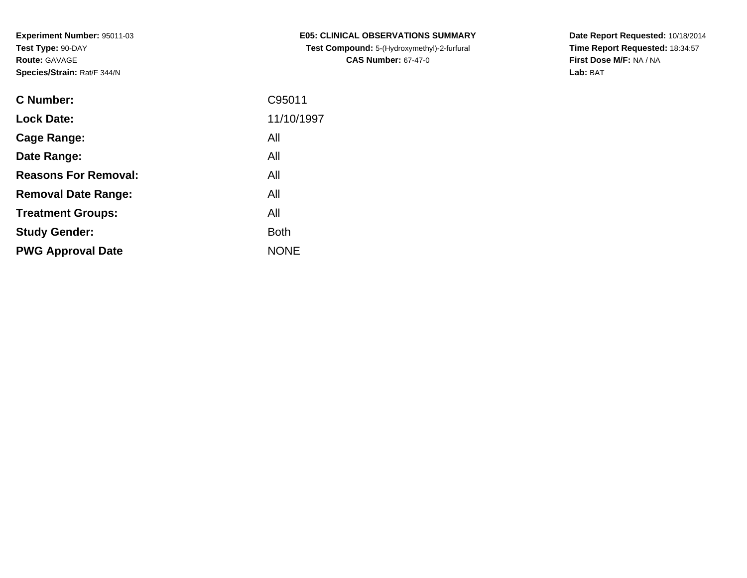| <b>C Number:</b>            | C95011      |
|-----------------------------|-------------|
| <b>Lock Date:</b>           | 11/10/1997  |
| <b>Cage Range:</b>          | All         |
| Date Range:                 | All         |
| <b>Reasons For Removal:</b> | All         |
| <b>Removal Date Range:</b>  | All         |
| <b>Treatment Groups:</b>    | All         |
| <b>Study Gender:</b>        | <b>Both</b> |
| <b>PWG Approval Date</b>    | <b>NONE</b> |
|                             |             |

**E05: CLINICAL OBSERVATIONS SUMMARY Test Compound:** 5-(Hydroxymethyl)-2-furfural **CAS Number:** 67-47-0

**Date Report Requested:** 10/18/2014 **Time Report Requested:** 18:34:57**First Dose M/F:** NA / NA**Lab:** BAT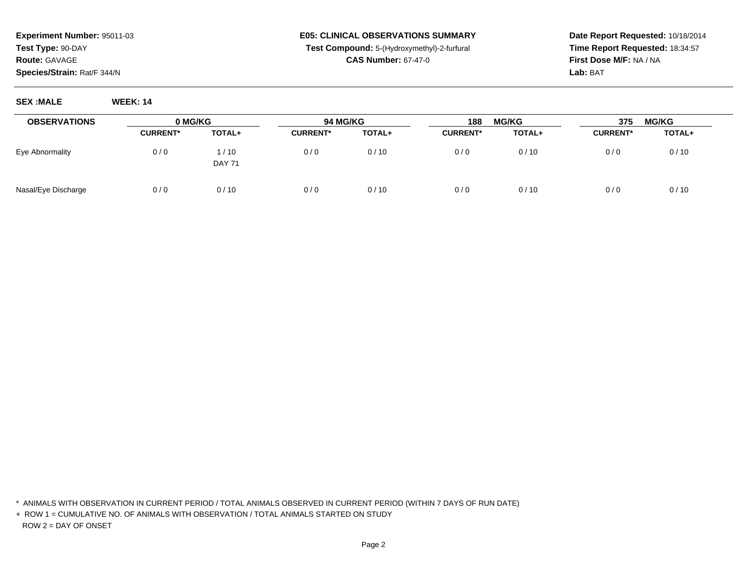# **E05: CLINICAL OBSERVATIONS SUMMARYTest Compound:** 5-(Hydroxymethyl)-2-furfural

**CAS Number:** 67-47-0

**Date Report Requested:** 10/18/2014**Time Report Requested:** 18:34:57**First Dose M/F:** NA / NA**Lab:** BAT

**SEX :MALE WEEK: 14**

| <b>OBSERVATIONS</b> |                 |                       | 0 MG/KG<br>94 MG/KG |        | <b>MG/KG</b><br>188 |        | <b>MG/KG</b><br>375 |        |
|---------------------|-----------------|-----------------------|---------------------|--------|---------------------|--------|---------------------|--------|
|                     | <b>CURRENT*</b> | TOTAL+                | <b>CURRENT*</b>     | TOTAL+ | <b>CURRENT*</b>     | TOTAL+ | <b>CURRENT*</b>     | TOTAL+ |
| Eye Abnormality     | 0/0             | 1/10<br><b>DAY 71</b> | 0/0                 | 0/10   | 0/0                 | 0/10   | 0/0                 | 0/10   |
| Nasal/Eye Discharge | 0/0             | 0/10                  | 0/0                 | 0/10   | 0/0                 | 0/10   | 0/0                 | 0/10   |

\* ANIMALS WITH OBSERVATION IN CURRENT PERIOD / TOTAL ANIMALS OBSERVED IN CURRENT PERIOD (WITHIN 7 DAYS OF RUN DATE)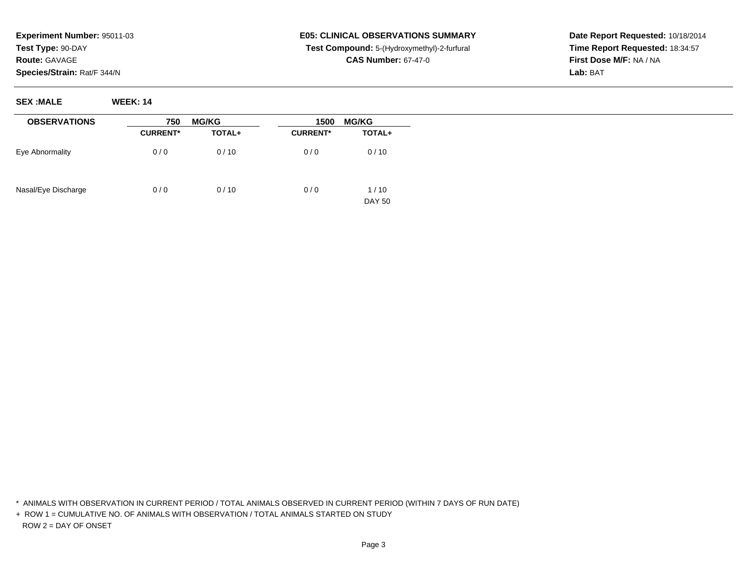#### **E05: CLINICAL OBSERVATIONS SUMMARY Test Compound:** 5-(Hydroxymethyl)-2-furfural **CAS Number:** 67-47-0

**Date Report Requested:** 10/18/2014**Time Report Requested:** 18:34:57**First Dose M/F:** NA / NA**Lab:** BAT

| <b>OBSERVATIONS</b> | 750             | <b>MG/KG</b> | 1500<br><b>MG/KG</b> |                       |  |
|---------------------|-----------------|--------------|----------------------|-----------------------|--|
|                     | <b>CURRENT*</b> | TOTAL+       | <b>CURRENT*</b>      | TOTAL+                |  |
| Eye Abnormality     | 0/0             | 0/10         | 0/0                  | 0/10                  |  |
| Nasal/Eye Discharge | 0/0             | 0/10         | 0/0                  | 1/10<br><b>DAY 50</b> |  |

\* ANIMALS WITH OBSERVATION IN CURRENT PERIOD / TOTAL ANIMALS OBSERVED IN CURRENT PERIOD (WITHIN 7 DAYS OF RUN DATE)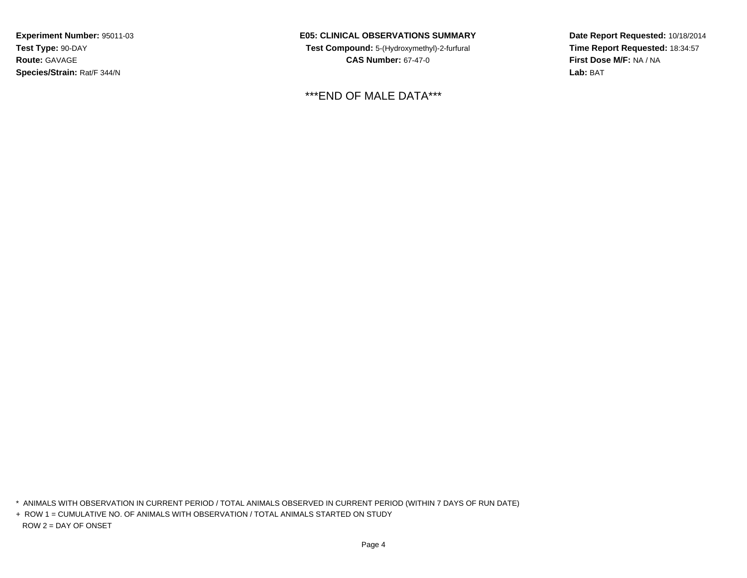**E05: CLINICAL OBSERVATIONS SUMMARY Test Compound:** 5-(Hydroxymethyl)-2-furfural **CAS Number:** 67-47-0

\*\*\*END OF MALE DATA\*\*\*

**Date Report Requested:** 10/18/2014**Time Report Requested:** 18:34:57**First Dose M/F:** NA / NA**Lab:** BAT

\* ANIMALS WITH OBSERVATION IN CURRENT PERIOD / TOTAL ANIMALS OBSERVED IN CURRENT PERIOD (WITHIN 7 DAYS OF RUN DATE)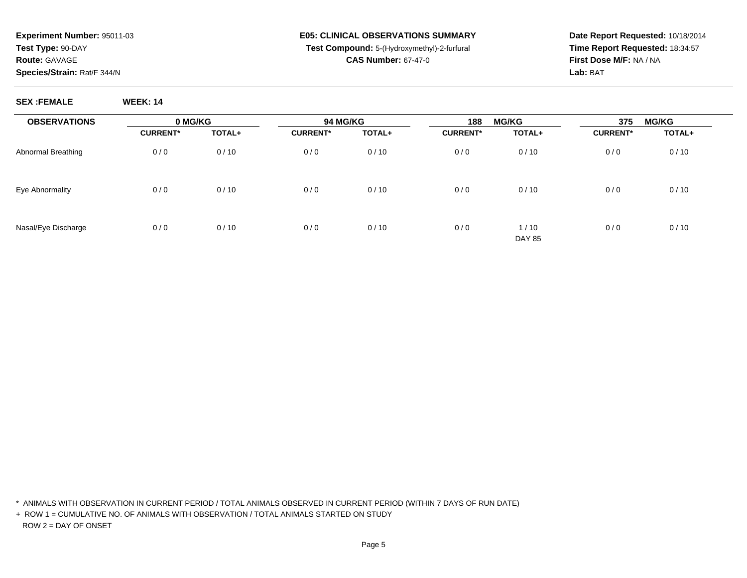# **E05: CLINICAL OBSERVATIONS SUMMARYTest Compound:** 5-(Hydroxymethyl)-2-furfural

**Date Report Requested:** 10/18/2014**Time Report Requested:** 18:34:57**First Dose M/F:** NA / NA**Lab:** BAT

#### **CAS Number:** 67-47-0

| <b>SEX :FEMALE</b> | <b>WEEK: 14</b> |
|--------------------|-----------------|
|                    |                 |
|                    |                 |
|                    |                 |
|                    |                 |

| <b>OBSERVATIONS</b> | 0 MG/KG         |        | <b>94 MG/KG</b> |        | 188             | <b>MG/KG</b>          | 375             | <b>MG/KG</b> |
|---------------------|-----------------|--------|-----------------|--------|-----------------|-----------------------|-----------------|--------------|
|                     | <b>CURRENT*</b> | TOTAL+ | <b>CURRENT*</b> | TOTAL+ | <b>CURRENT*</b> | TOTAL+                | <b>CURRENT*</b> | TOTAL+       |
| Abnormal Breathing  | 0/0             | 0/10   | 0/0             | 0/10   | 0/0             | 0/10                  | 0/0             | 0/10         |
| Eye Abnormality     | 0/0             | 0/10   | 0/0             | 0/10   | 0/0             | 0/10                  | 0/0             | 0/10         |
| Nasal/Eye Discharge | 0/0             | 0/10   | 0/0             | 0/10   | 0/0             | 1/10<br><b>DAY 85</b> | 0/0             | 0/10         |

\* ANIMALS WITH OBSERVATION IN CURRENT PERIOD / TOTAL ANIMALS OBSERVED IN CURRENT PERIOD (WITHIN 7 DAYS OF RUN DATE)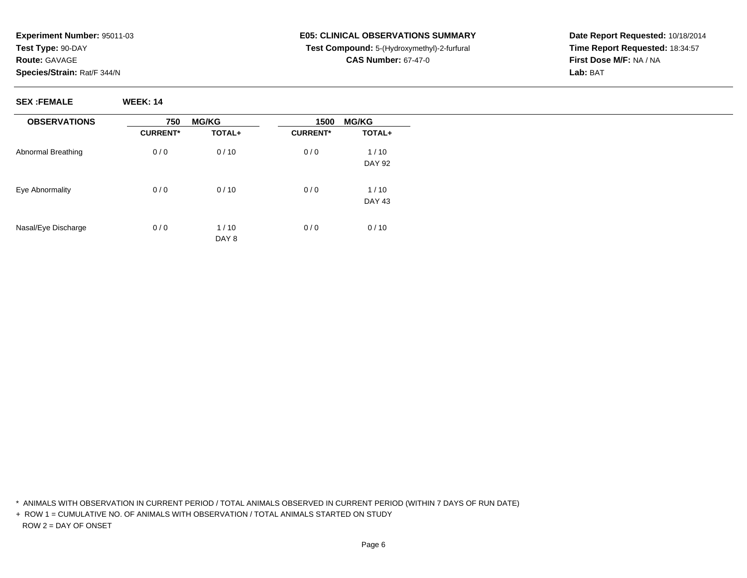#### **E05: CLINICAL OBSERVATIONS SUMMARY Test Compound:** 5-(Hydroxymethyl)-2-furfural **CAS Number:** 67-47-0

**Date Report Requested:** 10/18/2014**Time Report Requested:** 18:34:57**First Dose M/F:** NA / NA**Lab:** BAT

**SEX :FEMALE WEEK: 14**

| <b>OBSERVATIONS</b> | 750             | <b>MG/KG</b> | 1500            | <b>MG/KG</b>  |  |
|---------------------|-----------------|--------------|-----------------|---------------|--|
|                     | <b>CURRENT*</b> | TOTAL+       | <b>CURRENT*</b> | TOTAL+        |  |
| Abnormal Breathing  | 0/0             | 0/10         | 0/0             | 1/10          |  |
|                     |                 |              |                 | <b>DAY 92</b> |  |
| Eye Abnormality     | 0/0             | 0/10         | 0/0             | 1/10          |  |
|                     |                 |              |                 | DAY 43        |  |
| Nasal/Eye Discharge | 0/0             | 1/10         | 0/0             | 0/10          |  |
|                     |                 | DAY 8        |                 |               |  |

\* ANIMALS WITH OBSERVATION IN CURRENT PERIOD / TOTAL ANIMALS OBSERVED IN CURRENT PERIOD (WITHIN 7 DAYS OF RUN DATE)